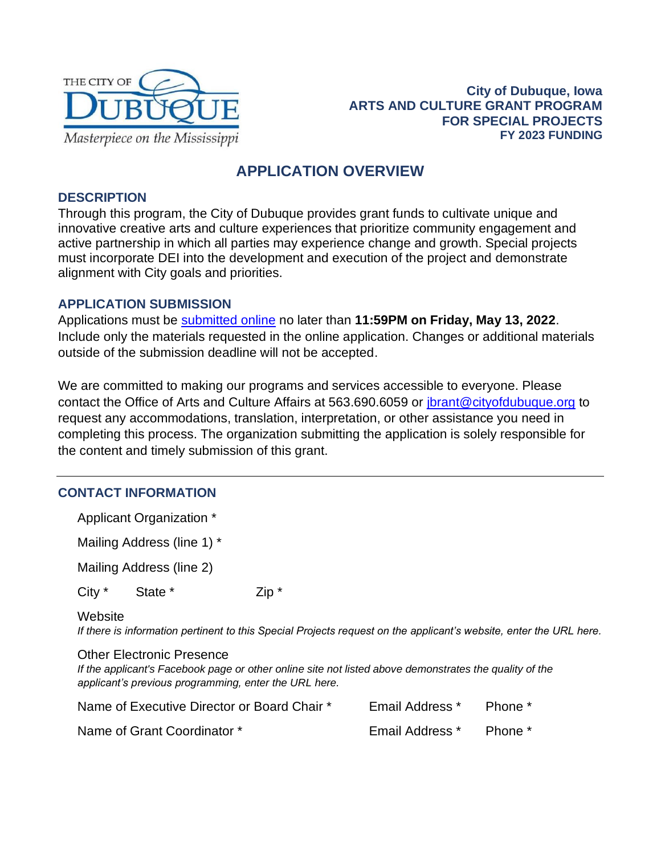

**City of Dubuque, Iowa ARTS AND CULTURE GRANT PROGRAM FOR SPECIAL PROJECTS FY 2023 FUNDING** 

# **APPLICATION OVERVIEW**

### **DESCRIPTION**

Through this program, the City of Dubuque provides grant funds to cultivate unique and innovative creative arts and culture experiences that prioritize community engagement and active partnership in which all parties may experience change and growth. Special projects must incorporate DEI into the development and execution of the project and demonstrate alignment with City goals and priorities.

#### **APPLICATION SUBMISSION**

Applications must be [submitted online](https://cityofdubuque.slideroom.com/#/permalink/program/65909) no later than **11:59PM on Friday, May 13, 2022**. Include only the materials requested in the online application. Changes or additional materials outside of the submission deadline will not be accepted.

We are committed to making our programs and services accessible to everyone. Please contact the Office of Arts and Culture Affairs at 563.690.6059 or [jbrant@cityofdubuque.org](mailto:jbrant@cityofdubuque.org) to request any accommodations, translation, interpretation, or other assistance you need in completing this process. The organization submitting the application is solely responsible for the content and timely submission of this grant.

# **CONTACT INFORMATION**

Applicant Organization \*

Mailing Address (line 1) \*

Mailing Address (line 2)

City \* State \* Zip \*

#### **Website**

*If there is information pertinent to this Special Projects request on the applicant's website, enter the URL here.*

#### Other Electronic Presence

*If the applicant's Facebook page or other online site not listed above demonstrates the quality of the applicant's previous programming, enter the URL here.*

| Name of Executive Director or Board Chair * | <b>Email Address</b> * | Phone * |
|---------------------------------------------|------------------------|---------|
| Name of Grant Coordinator *                 | <b>Email Address</b> * | Phone * |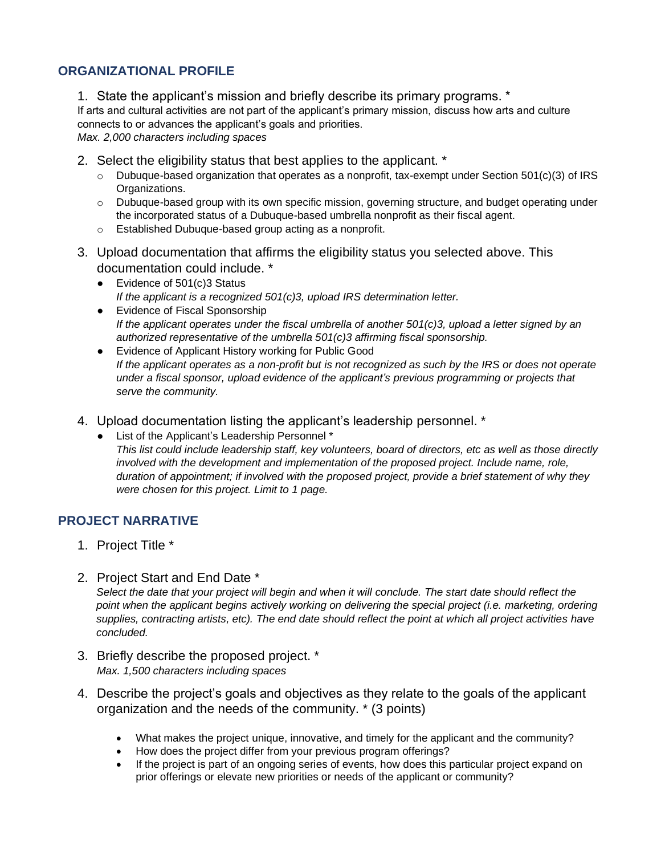# **ORGANIZATIONAL PROFILE**

1. State the applicant's mission and briefly describe its primary programs. \*

If arts and cultural activities are not part of the applicant's primary mission, discuss how arts and culture connects to or advances the applicant's goals and priorities.

*Max. 2,000 characters including spaces*

- 2. Select the eligibility status that best applies to the applicant. \*
	- $\circ$  Dubuque-based organization that operates as a nonprofit, tax-exempt under Section 501(c)(3) of IRS Organizations.
	- $\circ$  Dubuque-based group with its own specific mission, governing structure, and budget operating under the incorporated status of a Dubuque-based umbrella nonprofit as their fiscal agent.
	- o Established Dubuque-based group acting as a nonprofit.
- 3. Upload documentation that affirms the eligibility status you selected above. This documentation could include. \*
	- Evidence of 501(c)3 Status *If the applicant is a recognized 501(c)3, upload IRS determination letter.*
	- Evidence of Fiscal Sponsorship *If the applicant operates under the fiscal umbrella of another 501(c)3, upload a letter signed by an authorized representative of the umbrella 501(c)3 affirming fiscal sponsorship.*
	- Evidence of Applicant History working for Public Good *If the applicant operates as a non-profit but is not recognized as such by the IRS or does not operate under a fiscal sponsor, upload evidence of the applicant's previous programming or projects that serve the community.*
- 4. Upload documentation listing the applicant's leadership personnel. \*
	- List of the Applicant's Leadership Personnel \* *This list could include leadership staff, key volunteers, board of directors, etc as well as those directly involved with the development and implementation of the proposed project. Include name, role, duration of appointment; if involved with the proposed project, provide a brief statement of why they were chosen for this project. Limit to 1 page.*

# **PROJECT NARRATIVE**

- 1. Project Title \*
- 2. Project Start and End Date \*

*Select the date that your project will begin and when it will conclude. The start date should reflect the*  point when the applicant begins actively working on delivering the special project (i.e. marketing, ordering *supplies, contracting artists, etc). The end date should reflect the point at which all project activities have concluded.*

- 3. Briefly describe the proposed project. \* *Max. 1,500 characters including spaces*
- 4. Describe the project's goals and objectives as they relate to the goals of the applicant organization and the needs of the community. \* (3 points)
	- What makes the project unique, innovative, and timely for the applicant and the community?
	- How does the project differ from your previous program offerings?
	- If the project is part of an ongoing series of events, how does this particular project expand on prior offerings or elevate new priorities or needs of the applicant or community?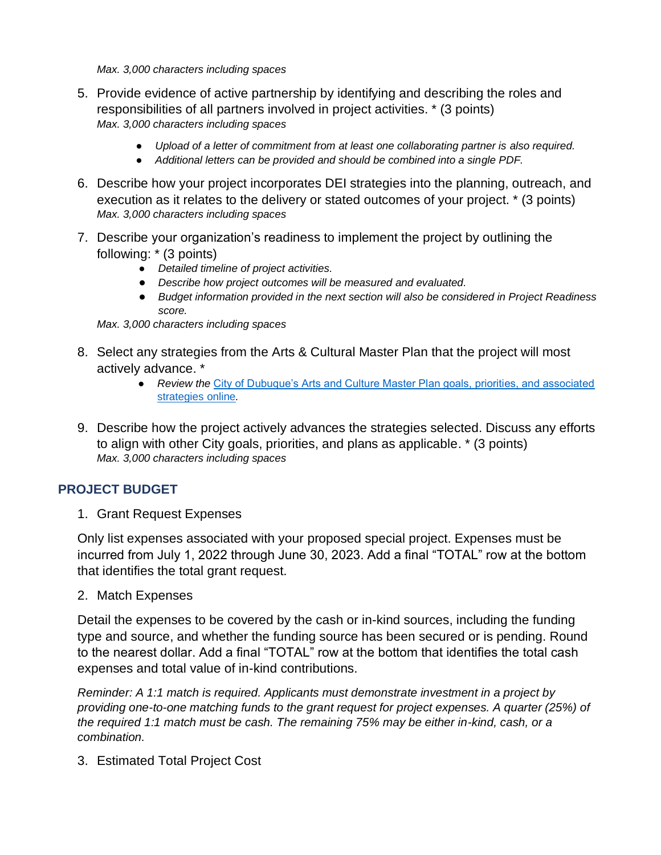*Max. 3,000 characters including spaces*

- 5. Provide evidence of active partnership by identifying and describing the roles and responsibilities of all partners involved in project activities. \* (3 points) *Max. 3,000 characters including spaces*
	- *Upload of a letter of commitment from at least one collaborating partner is also required.*
	- *Additional letters can be provided and should be combined into a single PDF.*
- 6. Describe how your project incorporates DEI strategies into the planning, outreach, and execution as it relates to the delivery or stated outcomes of your project. \* (3 points) *Max. 3,000 characters including spaces*
- 7. Describe your organization's readiness to implement the project by outlining the following: \* (3 points)
	- *Detailed timeline of project activities.*
	- *Describe how project outcomes will be measured and evaluated.*
	- *Budget information provided in the next section will also be considered in Project Readiness score.*

*Max. 3,000 characters including spaces*

- 8. Select any strategies from the Arts & Cultural Master Plan that the project will most actively advance. \*
	- *Review the* [City of Dubuque's Arts and Culture Master Plan goals, priorities, and associated](https://www.cityofdubuque.org/DocumentCenter/View/36680/Master-Plan-Priorities-and-Strategies)  [strategies online](https://www.cityofdubuque.org/DocumentCenter/View/36680/Master-Plan-Priorities-and-Strategies)*.*
- 9. Describe how the project actively advances the strategies selected. Discuss any efforts to align with other City goals, priorities, and plans as applicable. \* (3 points) *Max. 3,000 characters including spaces*

### **PROJECT BUDGET**

1. Grant Request Expenses

Only list expenses associated with your proposed special project. Expenses must be incurred from July 1, 2022 through June 30, 2023. Add a final "TOTAL" row at the bottom that identifies the total grant request.

2. Match Expenses

Detail the expenses to be covered by the cash or in-kind sources, including the funding type and source, and whether the funding source has been secured or is pending. Round to the nearest dollar. Add a final "TOTAL" row at the bottom that identifies the total cash expenses and total value of in-kind contributions.

*Reminder: A 1:1 match is required. Applicants must demonstrate investment in a project by providing one-to-one matching funds to the grant request for project expenses. A quarter (25%) of the required 1:1 match must be cash. The remaining 75% may be either in-kind, cash, or a combination.* 

3. Estimated Total Project Cost